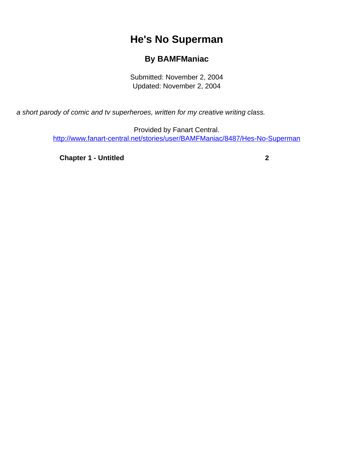## **He's No Superman**

## **By BAMFManiac**

Submitted: November 2, 2004 Updated: November 2, 2004

<span id="page-0-0"></span>a short parody of comic and tv superheroes, written for my creative writing class.

Provided by Fanart Central. [http://www.fanart-central.net/stories/user/BAMFManiac/8487/Hes-No-Superman](#page-0-0)

**[Chapter 1 - Untitled](#page-1-0) [2](#page-1-0)**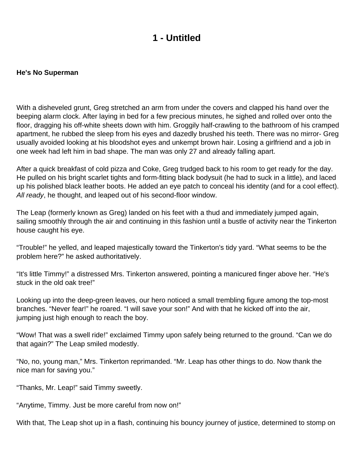## **1 - Untitled**

## <span id="page-1-0"></span>**He's No Superman**

With a disheveled grunt, Greg stretched an arm from under the covers and clapped his hand over the beeping alarm clock. After laying in bed for a few precious minutes, he sighed and rolled over onto the floor, dragging his off-white sheets down with him. Groggily half-crawling to the bathroom of his cramped apartment, he rubbed the sleep from his eyes and dazedly brushed his teeth. There was no mirror- Greg usually avoided looking at his bloodshot eyes and unkempt brown hair. Losing a girlfriend and a job in one week had left him in bad shape. The man was only 27 and already falling apart.

After a quick breakfast of cold pizza and Coke, Greg trudged back to his room to get ready for the day. He pulled on his bright scarlet tights and form-fitting black bodysuit (he had to suck in a little), and laced up his polished black leather boots. He added an eye patch to conceal his identity (and for a cool effect). All ready, he thought, and leaped out of his second-floor window.

The Leap (formerly known as Greg) landed on his feet with a thud and immediately jumped again, sailing smoothly through the air and continuing in this fashion until a bustle of activity near the Tinkerton house caught his eye.

"Trouble!" he yelled, and leaped majestically toward the Tinkerton's tidy yard. "What seems to be the problem here?" he asked authoritatively.

"It's little Timmy!" a distressed Mrs. Tinkerton answered, pointing a manicured finger above her. "He's stuck in the old oak tree!"

Looking up into the deep-green leaves, our hero noticed a small trembling figure among the top-most branches. "Never fear!" he roared. "I will save your son!" And with that he kicked off into the air, jumping just high enough to reach the boy.

"Wow! That was a swell ride!" exclaimed Timmy upon safely being returned to the ground. "Can we do that again?" The Leap smiled modestly.

"No, no, young man," Mrs. Tinkerton reprimanded. "Mr. Leap has other things to do. Now thank the nice man for saving you."

"Thanks, Mr. Leap!" said Timmy sweetly.

"Anytime, Timmy. Just be more careful from now on!"

With that, The Leap shot up in a flash, continuing his bouncy journey of justice, determined to stomp on